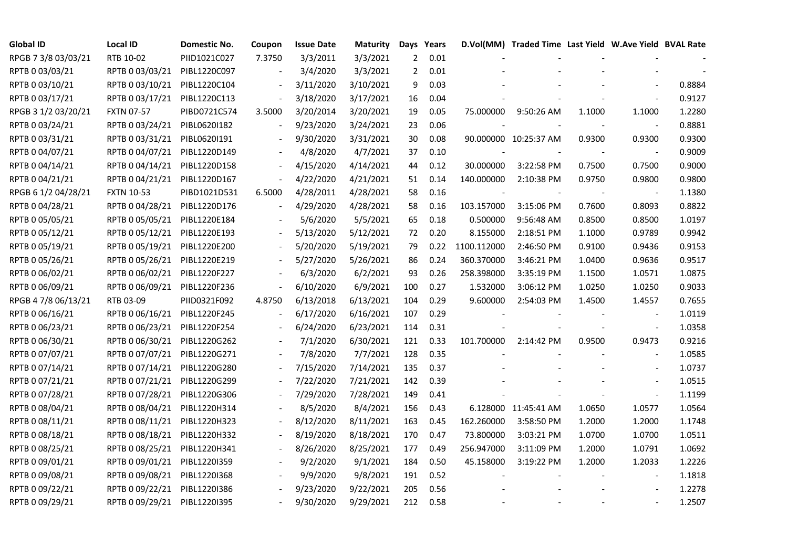| <b>Global ID</b>    | <b>Local ID</b>   | Domestic No. | Coupon | <b>Issue Date</b> | Maturity  | Days           | Years |             | D.Vol(MM) Traded Time Last Yield W.Ave Yield BVAL Rate |        |                |        |
|---------------------|-------------------|--------------|--------|-------------------|-----------|----------------|-------|-------------|--------------------------------------------------------|--------|----------------|--------|
| RPGB 7 3/8 03/03/21 | RTB 10-02         | PIID1021C027 | 7.3750 | 3/3/2011          | 3/3/2021  | $\overline{2}$ | 0.01  |             |                                                        |        |                |        |
| RPTB 0 03/03/21     | RPTB 0 03/03/21   | PIBL1220C097 |        | 3/4/2020          | 3/3/2021  | 2              | 0.01  |             |                                                        |        |                |        |
| RPTB 0 03/10/21     | RPTB 0 03/10/21   | PIBL1220C104 |        | 3/11/2020         | 3/10/2021 | 9              | 0.03  |             |                                                        |        |                | 0.8884 |
| RPTB 0 03/17/21     | RPTB 0 03/17/21   | PIBL1220C113 |        | 3/18/2020         | 3/17/2021 | 16             | 0.04  |             |                                                        |        |                | 0.9127 |
| RPGB 3 1/2 03/20/21 | <b>FXTN 07-57</b> | PIBD0721C574 | 3.5000 | 3/20/2014         | 3/20/2021 | 19             | 0.05  | 75.000000   | 9:50:26 AM                                             | 1.1000 | 1.1000         | 1.2280 |
| RPTB 0 03/24/21     | RPTB 0 03/24/21   | PIBL0620I182 |        | 9/23/2020         | 3/24/2021 | 23             | 0.06  |             |                                                        |        | $\blacksquare$ | 0.8881 |
| RPTB 0 03/31/21     | RPTB 0 03/31/21   | PIBL0620I191 |        | 9/30/2020         | 3/31/2021 | 30             | 0.08  |             | 90.000000 10:25:37 AM                                  | 0.9300 | 0.9300         | 0.9300 |
| RPTB 0 04/07/21     | RPTB 0 04/07/21   | PIBL1220D149 |        | 4/8/2020          | 4/7/2021  | 37             | 0.10  |             |                                                        |        |                | 0.9009 |
| RPTB 0 04/14/21     | RPTB 0 04/14/21   | PIBL1220D158 |        | 4/15/2020         | 4/14/2021 | 44             | 0.12  | 30.000000   | 3:22:58 PM                                             | 0.7500 | 0.7500         | 0.9000 |
| RPTB 0 04/21/21     | RPTB 0 04/21/21   | PIBL1220D167 |        | 4/22/2020         | 4/21/2021 | 51             | 0.14  | 140.000000  | 2:10:38 PM                                             | 0.9750 | 0.9800         | 0.9800 |
| RPGB 6 1/2 04/28/21 | <b>FXTN 10-53</b> | PIBD1021D531 | 6.5000 | 4/28/2011         | 4/28/2021 | 58             | 0.16  |             |                                                        |        |                | 1.1380 |
| RPTB 0 04/28/21     | RPTB 0 04/28/21   | PIBL1220D176 |        | 4/29/2020         | 4/28/2021 | 58             | 0.16  | 103.157000  | 3:15:06 PM                                             | 0.7600 | 0.8093         | 0.8822 |
| RPTB 0 05/05/21     | RPTB 0 05/05/21   | PIBL1220E184 |        | 5/6/2020          | 5/5/2021  | 65             | 0.18  | 0.500000    | 9:56:48 AM                                             | 0.8500 | 0.8500         | 1.0197 |
| RPTB 0 05/12/21     | RPTB 0 05/12/21   | PIBL1220E193 |        | 5/13/2020         | 5/12/2021 | 72             | 0.20  | 8.155000    | 2:18:51 PM                                             | 1.1000 | 0.9789         | 0.9942 |
| RPTB 0 05/19/21     | RPTB 0 05/19/21   | PIBL1220E200 |        | 5/20/2020         | 5/19/2021 | 79             | 0.22  | 1100.112000 | 2:46:50 PM                                             | 0.9100 | 0.9436         | 0.9153 |
| RPTB 0 05/26/21     | RPTB 0 05/26/21   | PIBL1220E219 |        | 5/27/2020         | 5/26/2021 | 86             | 0.24  | 360.370000  | 3:46:21 PM                                             | 1.0400 | 0.9636         | 0.9517 |
| RPTB 0 06/02/21     | RPTB 0 06/02/21   | PIBL1220F227 |        | 6/3/2020          | 6/2/2021  | 93             | 0.26  | 258.398000  | 3:35:19 PM                                             | 1.1500 | 1.0571         | 1.0875 |
| RPTB 0 06/09/21     | RPTB 0 06/09/21   | PIBL1220F236 |        | 6/10/2020         | 6/9/2021  | 100            | 0.27  | 1.532000    | 3:06:12 PM                                             | 1.0250 | 1.0250         | 0.9033 |
| RPGB 4 7/8 06/13/21 | RTB 03-09         | PIID0321F092 | 4.8750 | 6/13/2018         | 6/13/2021 | 104            | 0.29  | 9.600000    | 2:54:03 PM                                             | 1.4500 | 1.4557         | 0.7655 |
| RPTB 0 06/16/21     | RPTB 0 06/16/21   | PIBL1220F245 |        | 6/17/2020         | 6/16/2021 | 107            | 0.29  |             |                                                        |        |                | 1.0119 |
| RPTB 0 06/23/21     | RPTB 0 06/23/21   | PIBL1220F254 |        | 6/24/2020         | 6/23/2021 | 114            | 0.31  |             |                                                        |        | $\blacksquare$ | 1.0358 |
| RPTB 0 06/30/21     | RPTB 0 06/30/21   | PIBL1220G262 |        | 7/1/2020          | 6/30/2021 | 121            | 0.33  | 101.700000  | 2:14:42 PM                                             | 0.9500 | 0.9473         | 0.9216 |
| RPTB 0 07/07/21     | RPTB 0 07/07/21   | PIBL1220G271 |        | 7/8/2020          | 7/7/2021  | 128            | 0.35  |             |                                                        |        |                | 1.0585 |
| RPTB 0 07/14/21     | RPTB 0 07/14/21   | PIBL1220G280 |        | 7/15/2020         | 7/14/2021 | 135            | 0.37  |             |                                                        |        |                | 1.0737 |
| RPTB 0 07/21/21     | RPTB 0 07/21/21   | PIBL1220G299 |        | 7/22/2020         | 7/21/2021 | 142            | 0.39  |             |                                                        |        |                | 1.0515 |
| RPTB 0 07/28/21     | RPTB 0 07/28/21   | PIBL1220G306 |        | 7/29/2020         | 7/28/2021 | 149            | 0.41  |             |                                                        |        |                | 1.1199 |
| RPTB 0 08/04/21     | RPTB 0 08/04/21   | PIBL1220H314 |        | 8/5/2020          | 8/4/2021  | 156            | 0.43  |             | 6.128000 11:45:41 AM                                   | 1.0650 | 1.0577         | 1.0564 |
| RPTB 0 08/11/21     | RPTB 0 08/11/21   | PIBL1220H323 |        | 8/12/2020         | 8/11/2021 | 163            | 0.45  | 162.260000  | 3:58:50 PM                                             | 1.2000 | 1.2000         | 1.1748 |
| RPTB 0 08/18/21     | RPTB 0 08/18/21   | PIBL1220H332 |        | 8/19/2020         | 8/18/2021 | 170            | 0.47  | 73.800000   | 3:03:21 PM                                             | 1.0700 | 1.0700         | 1.0511 |
| RPTB 0 08/25/21     | RPTB 0 08/25/21   | PIBL1220H341 |        | 8/26/2020         | 8/25/2021 | 177            | 0.49  | 256.947000  | 3:11:09 PM                                             | 1.2000 | 1.0791         | 1.0692 |
| RPTB 0 09/01/21     | RPTB 0 09/01/21   | PIBL1220I359 |        | 9/2/2020          | 9/1/2021  | 184            | 0.50  | 45.158000   | 3:19:22 PM                                             | 1.2000 | 1.2033         | 1.2226 |
| RPTB 0 09/08/21     | RPTB 0 09/08/21   | PIBL1220I368 |        | 9/9/2020          | 9/8/2021  | 191            | 0.52  |             |                                                        |        |                | 1.1818 |
| RPTB 0 09/22/21     | RPTB 0 09/22/21   | PIBL1220I386 |        | 9/23/2020         | 9/22/2021 | 205            | 0.56  |             |                                                        |        |                | 1.2278 |
| RPTB 0 09/29/21     | RPTB 0 09/29/21   | PIBL1220I395 |        | 9/30/2020         | 9/29/2021 | 212            | 0.58  |             |                                                        |        |                | 1.2507 |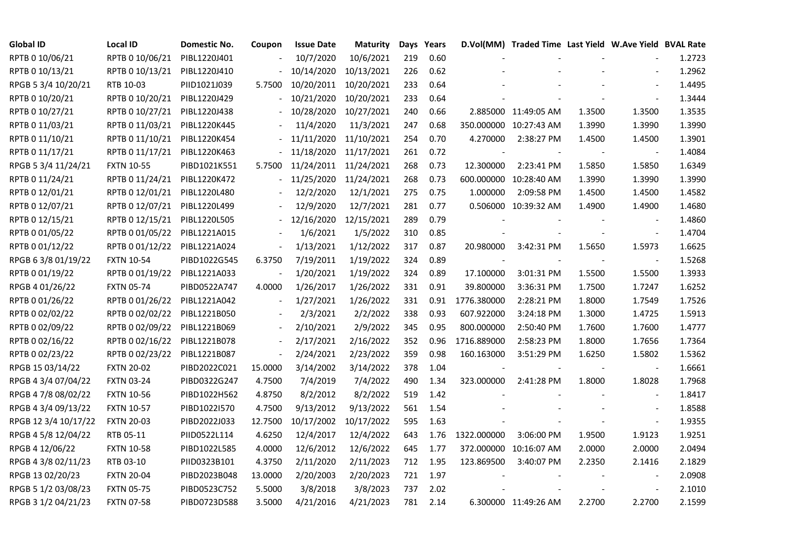| <b>Global ID</b>     | <b>Local ID</b>   | Domestic No. | Coupon                   | <b>Issue Date</b>     | <b>Maturity</b> |     | Days Years |             | D.Vol(MM) Traded Time Last Yield W.Ave Yield BVAL Rate |        |                          |        |
|----------------------|-------------------|--------------|--------------------------|-----------------------|-----------------|-----|------------|-------------|--------------------------------------------------------|--------|--------------------------|--------|
| RPTB 0 10/06/21      | RPTB 0 10/06/21   | PIBL1220J401 |                          | 10/7/2020             | 10/6/2021       | 219 | 0.60       |             |                                                        |        |                          | 1.2723 |
| RPTB 0 10/13/21      | RPTB 0 10/13/21   | PIBL1220J410 |                          | 10/14/2020            | 10/13/2021      | 226 | 0.62       |             |                                                        |        |                          | 1.2962 |
| RPGB 5 3/4 10/20/21  | RTB 10-03         | PIID1021J039 | 5.7500                   | 10/20/2011 10/20/2021 |                 | 233 | 0.64       |             |                                                        |        |                          | 1.4495 |
| RPTB 0 10/20/21      | RPTB 0 10/20/21   | PIBL1220J429 |                          | 10/21/2020            | 10/20/2021      | 233 | 0.64       |             |                                                        |        |                          | 1.3444 |
| RPTB 0 10/27/21      | RPTB 0 10/27/21   | PIBL1220J438 |                          | 10/28/2020 10/27/2021 |                 | 240 | 0.66       |             | 2.885000 11:49:05 AM                                   | 1.3500 | 1.3500                   | 1.3535 |
| RPTB 0 11/03/21      | RPTB 0 11/03/21   | PIBL1220K445 |                          | 11/4/2020             | 11/3/2021       | 247 | 0.68       |             | 350.000000 10:27:43 AM                                 | 1.3990 | 1.3990                   | 1.3990 |
| RPTB 0 11/10/21      | RPTB 0 11/10/21   | PIBL1220K454 |                          | 11/11/2020            | 11/10/2021      | 254 | 0.70       | 4.270000    | 2:38:27 PM                                             | 1.4500 | 1.4500                   | 1.3901 |
| RPTB 0 11/17/21      | RPTB 0 11/17/21   | PIBL1220K463 |                          | 11/18/2020 11/17/2021 |                 | 261 | 0.72       |             |                                                        |        | $\overline{\phantom{a}}$ | 1.4084 |
| RPGB 5 3/4 11/24/21  | <b>FXTN 10-55</b> | PIBD1021K551 | 5.7500                   | 11/24/2011 11/24/2021 |                 | 268 | 0.73       | 12.300000   | 2:23:41 PM                                             | 1.5850 | 1.5850                   | 1.6349 |
| RPTB 0 11/24/21      | RPTB 0 11/24/21   | PIBL1220K472 |                          | 11/25/2020            | 11/24/2021      | 268 | 0.73       |             | 600.000000 10:28:40 AM                                 | 1.3990 | 1.3990                   | 1.3990 |
| RPTB 0 12/01/21      | RPTB 0 12/01/21   | PIBL1220L480 |                          | 12/2/2020             | 12/1/2021       | 275 | 0.75       | 1.000000    | 2:09:58 PM                                             | 1.4500 | 1.4500                   | 1.4582 |
| RPTB 0 12/07/21      | RPTB 0 12/07/21   | PIBL1220L499 |                          | 12/9/2020             | 12/7/2021       | 281 | 0.77       |             | 0.506000 10:39:32 AM                                   | 1.4900 | 1.4900                   | 1.4680 |
| RPTB 0 12/15/21      | RPTB 0 12/15/21   | PIBL1220L505 |                          | 12/16/2020            | 12/15/2021      | 289 | 0.79       |             |                                                        |        | $\overline{\phantom{a}}$ | 1.4860 |
| RPTB 0 01/05/22      | RPTB 0 01/05/22   | PIBL1221A015 |                          | 1/6/2021              | 1/5/2022        | 310 | 0.85       |             |                                                        |        | $\blacksquare$           | 1.4704 |
| RPTB 0 01/12/22      | RPTB 0 01/12/22   | PIBL1221A024 |                          | 1/13/2021             | 1/12/2022       | 317 | 0.87       | 20.980000   | 3:42:31 PM                                             | 1.5650 | 1.5973                   | 1.6625 |
| RPGB 63/8 01/19/22   | <b>FXTN 10-54</b> | PIBD1022G545 | 6.3750                   | 7/19/2011             | 1/19/2022       | 324 | 0.89       |             |                                                        |        | $\overline{\phantom{a}}$ | 1.5268 |
| RPTB 0 01/19/22      | RPTB 0 01/19/22   | PIBL1221A033 |                          | 1/20/2021             | 1/19/2022       | 324 | 0.89       | 17.100000   | 3:01:31 PM                                             | 1.5500 | 1.5500                   | 1.3933 |
| RPGB 4 01/26/22      | <b>FXTN 05-74</b> | PIBD0522A747 | 4.0000                   | 1/26/2017             | 1/26/2022       | 331 | 0.91       | 39.800000   | 3:36:31 PM                                             | 1.7500 | 1.7247                   | 1.6252 |
| RPTB 0 01/26/22      | RPTB 0 01/26/22   | PIBL1221A042 | $\blacksquare$           | 1/27/2021             | 1/26/2022       | 331 | 0.91       | 1776.380000 | 2:28:21 PM                                             | 1.8000 | 1.7549                   | 1.7526 |
| RPTB 0 02/02/22      | RPTB 0 02/02/22   | PIBL1221B050 |                          | 2/3/2021              | 2/2/2022        | 338 | 0.93       | 607.922000  | 3:24:18 PM                                             | 1.3000 | 1.4725                   | 1.5913 |
| RPTB 0 02/09/22      | RPTB 0 02/09/22   | PIBL1221B069 | $\overline{\phantom{a}}$ | 2/10/2021             | 2/9/2022        | 345 | 0.95       | 800.000000  | 2:50:40 PM                                             | 1.7600 | 1.7600                   | 1.4777 |
| RPTB 0 02/16/22      | RPTB 0 02/16/22   | PIBL1221B078 |                          | 2/17/2021             | 2/16/2022       | 352 | 0.96       | 1716.889000 | 2:58:23 PM                                             | 1.8000 | 1.7656                   | 1.7364 |
| RPTB 0 02/23/22      | RPTB 0 02/23/22   | PIBL1221B087 | $\blacksquare$           | 2/24/2021             | 2/23/2022       | 359 | 0.98       | 160.163000  | 3:51:29 PM                                             | 1.6250 | 1.5802                   | 1.5362 |
| RPGB 15 03/14/22     | <b>FXTN 20-02</b> | PIBD2022C021 | 15.0000                  | 3/14/2002             | 3/14/2022       | 378 | 1.04       |             |                                                        |        |                          | 1.6661 |
| RPGB 4 3/4 07/04/22  | <b>FXTN 03-24</b> | PIBD0322G247 | 4.7500                   | 7/4/2019              | 7/4/2022        | 490 | 1.34       | 323.000000  | 2:41:28 PM                                             | 1.8000 | 1.8028                   | 1.7968 |
| RPGB 4 7/8 08/02/22  | <b>FXTN 10-56</b> | PIBD1022H562 | 4.8750                   | 8/2/2012              | 8/2/2022        | 519 | 1.42       |             |                                                        |        |                          | 1.8417 |
| RPGB 4 3/4 09/13/22  | <b>FXTN 10-57</b> | PIBD1022I570 | 4.7500                   | 9/13/2012             | 9/13/2022       | 561 | 1.54       |             |                                                        |        | $\sim$                   | 1.8588 |
| RPGB 12 3/4 10/17/22 | <b>FXTN 20-03</b> | PIBD2022J033 | 12.7500                  | 10/17/2002 10/17/2022 |                 | 595 | 1.63       |             |                                                        |        | $\overline{\phantom{a}}$ | 1.9355 |
| RPGB 4 5/8 12/04/22  | RTB 05-11         | PIID0522L114 | 4.6250                   | 12/4/2017             | 12/4/2022       | 643 | 1.76       | 1322.000000 | 3:06:00 PM                                             | 1.9500 | 1.9123                   | 1.9251 |
| RPGB 4 12/06/22      | <b>FXTN 10-58</b> | PIBD1022L585 | 4.0000                   | 12/6/2012             | 12/6/2022       | 645 | 1.77       |             | 372.000000 10:16:07 AM                                 | 2.0000 | 2.0000                   | 2.0494 |
| RPGB 4 3/8 02/11/23  | RTB 03-10         | PIID0323B101 | 4.3750                   | 2/11/2020             | 2/11/2023       | 712 | 1.95       | 123.869500  | 3:40:07 PM                                             | 2.2350 | 2.1416                   | 2.1829 |
| RPGB 13 02/20/23     | <b>FXTN 20-04</b> | PIBD2023B048 | 13.0000                  | 2/20/2003             | 2/20/2023       | 721 | 1.97       |             |                                                        |        |                          | 2.0908 |
| RPGB 5 1/2 03/08/23  | <b>FXTN 05-75</b> | PIBD0523C752 | 5.5000                   | 3/8/2018              | 3/8/2023        | 737 | 2.02       |             |                                                        |        |                          | 2.1010 |
| RPGB 3 1/2 04/21/23  | <b>FXTN 07-58</b> | PIBD0723D588 | 3.5000                   | 4/21/2016             | 4/21/2023       | 781 | 2.14       |             | 6.300000 11:49:26 AM                                   | 2.2700 | 2.2700                   | 2.1599 |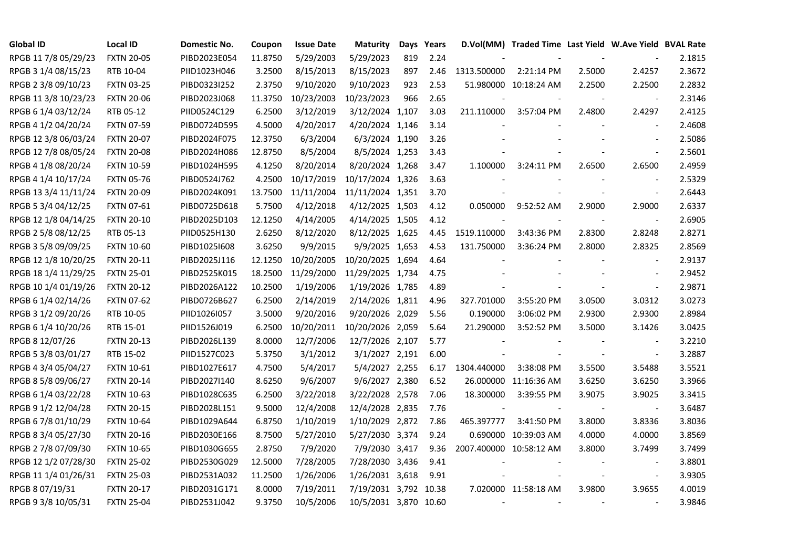| <b>Global ID</b>     | <b>Local ID</b>   | Domestic No. | Coupon  | <b>Issue Date</b> | <b>Maturity</b>       | Days | Years |                         | D.Vol(MM) Traded Time Last Yield W.Ave Yield BVAL Rate |        |                          |        |
|----------------------|-------------------|--------------|---------|-------------------|-----------------------|------|-------|-------------------------|--------------------------------------------------------|--------|--------------------------|--------|
| RPGB 11 7/8 05/29/23 | <b>FXTN 20-05</b> | PIBD2023E054 | 11.8750 | 5/29/2003         | 5/29/2023             | 819  | 2.24  |                         |                                                        |        |                          | 2.1815 |
| RPGB 3 1/4 08/15/23  | RTB 10-04         | PIID1023H046 | 3.2500  | 8/15/2013         | 8/15/2023             | 897  | 2.46  | 1313.500000             | 2:21:14 PM                                             | 2.5000 | 2.4257                   | 2.3672 |
| RPGB 2 3/8 09/10/23  | <b>FXTN 03-25</b> | PIBD0323I252 | 2.3750  | 9/10/2020         | 9/10/2023             | 923  | 2.53  |                         | 51.980000 10:18:24 AM                                  | 2.2500 | 2.2500                   | 2.2832 |
| RPGB 11 3/8 10/23/23 | <b>FXTN 20-06</b> | PIBD2023J068 | 11.3750 | 10/23/2003        | 10/23/2023            | 966  | 2.65  |                         |                                                        |        | $\blacksquare$           | 2.3146 |
| RPGB 6 1/4 03/12/24  | RTB 05-12         | PIID0524C129 | 6.2500  | 3/12/2019         | 3/12/2024 1,107       |      | 3.03  | 211.110000              | 3:57:04 PM                                             | 2.4800 | 2.4297                   | 2.4125 |
| RPGB 4 1/2 04/20/24  | <b>FXTN 07-59</b> | PIBD0724D595 | 4.5000  | 4/20/2017         | 4/20/2024 1,146       |      | 3.14  |                         |                                                        |        | $\sim$                   | 2.4608 |
| RPGB 12 3/8 06/03/24 | <b>FXTN 20-07</b> | PIBD2024F075 | 12.3750 | 6/3/2004          | 6/3/2024 1,190        |      | 3.26  |                         |                                                        |        | $\overline{\phantom{a}}$ | 2.5086 |
| RPGB 12 7/8 08/05/24 | <b>FXTN 20-08</b> | PIBD2024H086 | 12.8750 | 8/5/2004          | 8/5/2024 1,253        |      | 3.43  |                         |                                                        |        | $\bar{\phantom{a}}$      | 2.5601 |
| RPGB 4 1/8 08/20/24  | <b>FXTN 10-59</b> | PIBD1024H595 | 4.1250  | 8/20/2014         | 8/20/2024 1,268       |      | 3.47  | 1.100000                | 3:24:11 PM                                             | 2.6500 | 2.6500                   | 2.4959 |
| RPGB 4 1/4 10/17/24  | <b>FXTN 05-76</b> | PIBD0524J762 | 4.2500  | 10/17/2019        | 10/17/2024 1,326      |      | 3.63  |                         |                                                        |        |                          | 2.5329 |
| RPGB 13 3/4 11/11/24 | <b>FXTN 20-09</b> | PIBD2024K091 | 13.7500 | 11/11/2004        | 11/11/2024 1,351      |      | 3.70  |                         |                                                        |        | $\sim$                   | 2.6443 |
| RPGB 5 3/4 04/12/25  | <b>FXTN 07-61</b> | PIBD0725D618 | 5.7500  | 4/12/2018         | 4/12/2025 1,503       |      | 4.12  | 0.050000                | 9:52:52 AM                                             | 2.9000 | 2.9000                   | 2.6337 |
| RPGB 12 1/8 04/14/25 | <b>FXTN 20-10</b> | PIBD2025D103 | 12.1250 | 4/14/2005         | 4/14/2025 1,505       |      | 4.12  |                         |                                                        |        | $\overline{\phantom{a}}$ | 2.6905 |
| RPGB 2 5/8 08/12/25  | RTB 05-13         | PIID0525H130 | 2.6250  | 8/12/2020         | 8/12/2025 1,625       |      | 4.45  | 1519.110000             | 3:43:36 PM                                             | 2.8300 | 2.8248                   | 2.8271 |
| RPGB 3 5/8 09/09/25  | <b>FXTN 10-60</b> | PIBD10251608 | 3.6250  | 9/9/2015          | 9/9/2025 1,653        |      | 4.53  | 131.750000              | 3:36:24 PM                                             | 2.8000 | 2.8325                   | 2.8569 |
| RPGB 12 1/8 10/20/25 | <b>FXTN 20-11</b> | PIBD2025J116 | 12.1250 | 10/20/2005        | 10/20/2025 1,694      |      | 4.64  |                         |                                                        |        |                          | 2.9137 |
| RPGB 18 1/4 11/29/25 | <b>FXTN 25-01</b> | PIBD2525K015 | 18.2500 | 11/29/2000        | 11/29/2025 1,734      |      | 4.75  |                         |                                                        |        |                          | 2.9452 |
| RPGB 10 1/4 01/19/26 | <b>FXTN 20-12</b> | PIBD2026A122 | 10.2500 | 1/19/2006         | 1/19/2026 1,785       |      | 4.89  |                         |                                                        |        | $\blacksquare$           | 2.9871 |
| RPGB 6 1/4 02/14/26  | <b>FXTN 07-62</b> | PIBD0726B627 | 6.2500  | 2/14/2019         | 2/14/2026 1,811       |      | 4.96  | 327.701000              | 3:55:20 PM                                             | 3.0500 | 3.0312                   | 3.0273 |
| RPGB 3 1/2 09/20/26  | RTB 10-05         | PIID1026I057 | 3.5000  | 9/20/2016         | 9/20/2026 2,029       |      | 5.56  | 0.190000                | 3:06:02 PM                                             | 2.9300 | 2.9300                   | 2.8984 |
| RPGB 6 1/4 10/20/26  | RTB 15-01         | PIID1526J019 | 6.2500  | 10/20/2011        | 10/20/2026 2,059      |      | 5.64  | 21.290000               | 3:52:52 PM                                             | 3.5000 | 3.1426                   | 3.0425 |
| RPGB 8 12/07/26      | <b>FXTN 20-13</b> | PIBD2026L139 | 8.0000  | 12/7/2006         | 12/7/2026 2,107       |      | 5.77  |                         |                                                        |        |                          | 3.2210 |
| RPGB 5 3/8 03/01/27  | RTB 15-02         | PIID1527C023 | 5.3750  | 3/1/2012          | 3/1/2027 2,191        |      | 6.00  |                         |                                                        |        | $\blacksquare$           | 3.2887 |
| RPGB 4 3/4 05/04/27  | <b>FXTN 10-61</b> | PIBD1027E617 | 4.7500  | 5/4/2017          | 5/4/2027 2,255        |      | 6.17  | 1304.440000             | 3:38:08 PM                                             | 3.5500 | 3.5488                   | 3.5521 |
| RPGB 8 5/8 09/06/27  | <b>FXTN 20-14</b> | PIBD2027I140 | 8.6250  | 9/6/2007          | 9/6/2027 2,380        |      | 6.52  |                         | 26.000000 11:16:36 AM                                  | 3.6250 | 3.6250                   | 3.3966 |
| RPGB 6 1/4 03/22/28  | <b>FXTN 10-63</b> | PIBD1028C635 | 6.2500  | 3/22/2018         | 3/22/2028 2,578       |      | 7.06  | 18.300000               | 3:39:55 PM                                             | 3.9075 | 3.9025                   | 3.3415 |
| RPGB 9 1/2 12/04/28  | <b>FXTN 20-15</b> | PIBD2028L151 | 9.5000  | 12/4/2008         | 12/4/2028 2,835       |      | 7.76  |                         |                                                        |        | $\blacksquare$           | 3.6487 |
| RPGB 6 7/8 01/10/29  | <b>FXTN 10-64</b> | PIBD1029A644 | 6.8750  | 1/10/2019         | 1/10/2029 2,872       |      | 7.86  | 465.397777              | 3:41:50 PM                                             | 3.8000 | 3.8336                   | 3.8036 |
| RPGB 8 3/4 05/27/30  | <b>FXTN 20-16</b> | PIBD2030E166 | 8.7500  | 5/27/2010         | 5/27/2030 3,374       |      | 9.24  |                         | 0.690000 10:39:03 AM                                   | 4.0000 | 4.0000                   | 3.8569 |
| RPGB 2 7/8 07/09/30  | <b>FXTN 10-65</b> | PIBD1030G655 | 2.8750  | 7/9/2020          | 7/9/2030 3,417        |      | 9.36  | 2007.400000 10:58:12 AM |                                                        | 3.8000 | 3.7499                   | 3.7499 |
| RPGB 12 1/2 07/28/30 | <b>FXTN 25-02</b> | PIBD2530G029 | 12.5000 | 7/28/2005         | 7/28/2030 3,436       |      | 9.41  |                         |                                                        |        |                          | 3.8801 |
| RPGB 11 1/4 01/26/31 | <b>FXTN 25-03</b> | PIBD2531A032 | 11.2500 | 1/26/2006         | 1/26/2031 3,618       |      | 9.91  |                         |                                                        |        | $\blacksquare$           | 3.9305 |
| RPGB 8 07/19/31      | <b>FXTN 20-17</b> | PIBD2031G171 | 8.0000  | 7/19/2011         | 7/19/2031 3,792 10.38 |      |       |                         | 7.020000 11:58:18 AM                                   | 3.9800 | 3.9655                   | 4.0019 |
| RPGB 9 3/8 10/05/31  | <b>FXTN 25-04</b> | PIBD2531J042 | 9.3750  | 10/5/2006         | 10/5/2031 3,870 10.60 |      |       |                         |                                                        |        |                          | 3.9846 |